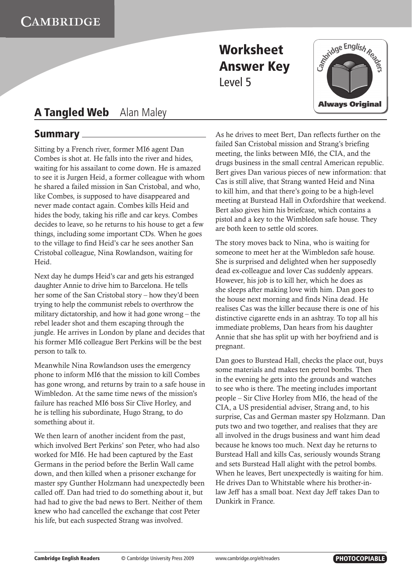

## **A Tangled Web** Alan Maley

### **Summary**

Sitting by a French river, former MI6 agent Dan Combes is shot at. He falls into the river and hides, waiting for his assailant to come down. He is amazed to see it is Jurgen Heid, a former colleague with whom he shared a failed mission in San Cristobal, and who, like Combes, is supposed to have disappeared and never made contact again. Combes kills Heid and hides the body, taking his rifle and car keys. Combes decides to leave, so he returns to his house to get a few things, including some important CDs. When he goes to the village to find Heid's car he sees another San Cristobal colleague, Nina Rowlandson, waiting for Heid.

Next day he dumps Heid's car and gets his estranged daughter Annie to drive him to Barcelona. He tells her some of the San Cristobal story – how they'd been trying to help the communist rebels to overthrow the military dictatorship, and how it had gone wrong – the rebel leader shot and them escaping through the jungle. He arrives in London by plane and decides that his former MI6 colleague Bert Perkins will be the best person to talk to.

Meanwhile Nina Rowlandson uses the emergency phone to inform MI6 that the mission to kill Combes has gone wrong, and returns by train to a safe house in Wimbledon. At the same time news of the mission's failure has reached MI6 boss Sir Clive Horley, and he is telling his subordinate, Hugo Strang, to do something about it.

We then learn of another incident from the past, which involved Bert Perkins' son Peter, who had also worked for MI6. He had been captured by the East Germans in the period before the Berlin Wall came down, and then killed when a prisoner exchange for master spy Gunther Holzmann had unexpectedly been called off. Dan had tried to do something about it, but had had to give the bad news to Bert. Neither of them knew who had cancelled the exchange that cost Peter his life, but each suspected Strang was involved.

As he drives to meet Bert, Dan reflects further on the failed San Cristobal mission and Strang's briefing meeting, the links between MI6, the CIA, and the drugs business in the small central American republic. Bert gives Dan various pieces of new information: that Cas is still alive, that Strang wanted Heid and Nina to kill him, and that there's going to be a high-level meeting at Burstead Hall in Oxfordshire that weekend. Bert also gives him his briefcase, which contains a pistol and a key to the Wimbledon safe house. They are both keen to settle old scores.

The story moves back to Nina, who is waiting for someone to meet her at the Wimbledon safe house. She is surprised and delighted when her supposedly dead ex-colleague and lover Cas suddenly appears. However, his job is to kill her, which he does as she sleeps after making love with him. Dan goes to the house next morning and finds Nina dead. He realises Cas was the killer because there is one of his distinctive cigarette ends in an ashtray. To top all his immediate problems, Dan hears from his daughter Annie that she has split up with her boyfriend and is pregnant.

Dan goes to Burstead Hall, checks the place out, buys some materials and makes ten petrol bombs. Then in the evening he gets into the grounds and watches to see who is there. The meeting includes important people – Sir Clive Horley from MI6, the head of the CIA, a US presidential adviser, Strang and, to his surprise, Cas and German master spy Holzmann. Dan puts two and two together, and realises that they are all involved in the drugs business and want him dead because he knows too much. Next day he returns to Burstead Hall and kills Cas, seriously wounds Strang and sets Burstead Hall alight with the petrol bombs. When he leaves, Bert unexpectedly is waiting for him. He drives Dan to Whitstable where his brother-inlaw Jeff has a small boat. Next day Jeff takes Dan to Dunkirk in France.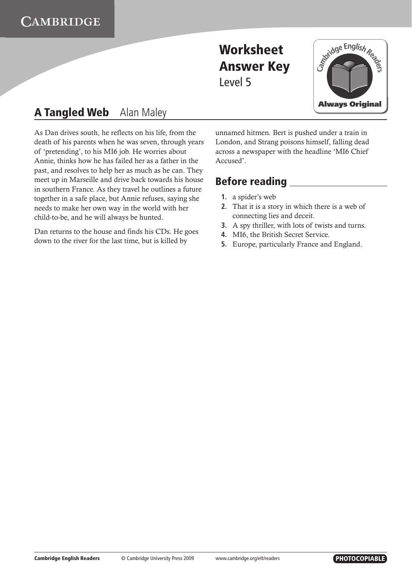

## **A Tangled Web** Alan Maley

As Dan drives south, he reflects on his life, from the death of his parents when he was seven, through years of 'pretending', to his MI6 job. He worries about Annie, thinks how he has failed her as a father in the past, and resolves to help her as much as he can. They meet up in Marseille and drive back towards his house in southern France. As they travel he outlines a future together in a safe place, but Annie refuses, saying she needs to make her own way in the world with her child-to-be, and he will always be hunted.

Dan returns to the house and finds his CDs. He goes down to the river for the last time, but is killed by

unnamed hitmen. Bert is pushed under a train in London, and Strang poisons himself, falling dead across a newspaper with the headline 'MI6 Chief Accused'.

### **Before reading**

- **1.** a spider's web
- **2.** That it is a story in which there is a web of connecting lies and deceit.
- **3.** A spy thriller, with lots of twists and turns.
- **4.** MI6, the British Secret Service.
- **5.** Europe, particularly France and England.

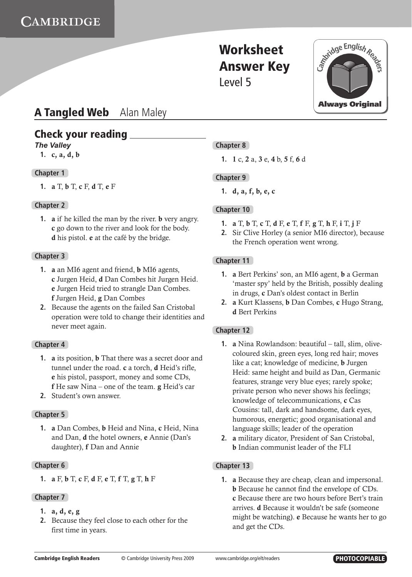

### **A Tangled Web** Alan Maley

### **Check your reading**

#### *The Valley*

 **1.** c, a, d, b

#### **Chapter 1**

 **1.** a T, b T, c F, d T, e F

#### **Chapter 2**

**1. a** if he killed the man by the river. **b** very angry. c go down to the river and look for the body. d his pistol. e at the café by the bridge.

#### **Chapter 3**

- **1.** a an MI6 agent and friend, b MI6 agents, c Jurgen Heid, d Dan Combes hit Jurgen Heid. e Jurgen Heid tried to strangle Dan Combes. f Jurgen Heid, g Dan Combes
- **2.** Because the agents on the failed San Cristobal operation were told to change their identities and never meet again.

#### **Chapter 4**

- **1.** a its position, b That there was a secret door and tunnel under the road. c a torch, d Heid's rifle, e his pistol, passport, money and some CDs, f He saw Nina – one of the team. g Heid's car
- **2.** Student's own answer.

#### **Chapter 5**

 **1.** a Dan Combes, b Heid and Nina, c Heid, Nina and Dan, d the hotel owners, e Annie (Dan's daughter), f Dan and Annie

#### **Chapter 6**

 **1.** a F, b T, c F, d F, e T, f T, g T, h F

#### **Chapter 7**

- **1.** a, d, e, g
- **2.** Because they feel close to each other for the first time in years.

#### **Chapter 8**

 **1.** 1 c, 2 a, 3 e, 4 b, 5 f, 6 d

#### **Chapter 9**

 **1.** d, a, f, b, e, c

#### **Chapter 10**

- **1.** a T, b T, c T, d F, e T, f F, g T, h F, i T, j F
- **2.** Sir Clive Horley (a senior MI6 director), because the French operation went wrong.

#### **Chapter 11**

- **1.** a Bert Perkins' son, an MI6 agent, b a German 'master spy' held by the British, possibly dealing in drugs, c Dan's oldest contact in Berlin
- **2.** a Kurt Klassens, b Dan Combes, c Hugo Strang, d Bert Perkins

#### **Chapter 12**

- **1.** a Nina Rowlandson: beautiful tall, slim, olivecoloured skin, green eyes, long red hair; moves like a cat; knowledge of medicine, b Jurgen Heid: same height and build as Dan, Germanic features, strange very blue eyes; rarely spoke; private person who never shows his feelings; knowledge of telecommunications, c Cas Cousins: tall, dark and handsome, dark eyes, humorous, energetic; good organisational and language skills; leader of the operation
- **2.** a military dicator, President of San Cristobal, b Indian communist leader of the FLI

#### **Chapter 13**

 **1.** a Because they are cheap, clean and impersonal. b Because he cannot find the envelope of CDs. c Because there are two hours before Bert's train arrives. d Because it wouldn't be safe (someone might be watching). e Because he wants her to go and get the CDs.